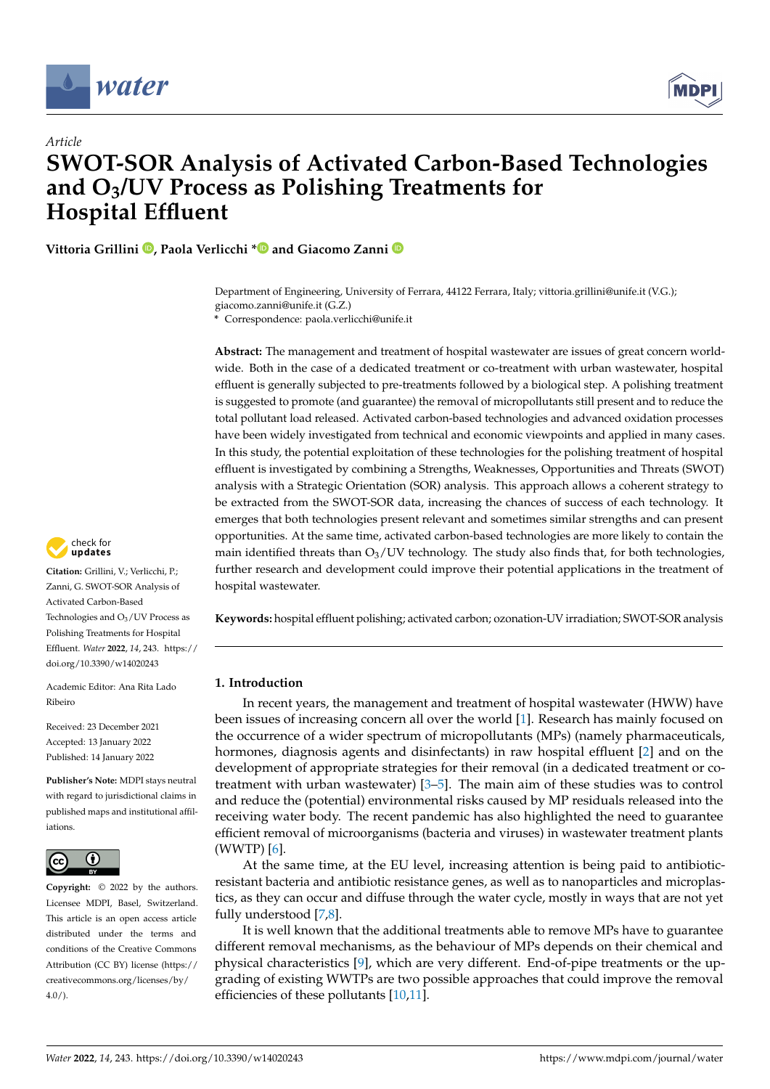



# *Article* **SWOT-SOR Analysis of Activated Carbon-Based Technologies and O3/UV Process as Polishing Treatments for Hospital Effluent**

**Vittoria Grillini [,](https://orcid.org/0000-0001-6614-729X) Paola Verlicchi [\\*](https://orcid.org/0000-0002-3797-2853) and Giacomo Zanni**

Department of Engineering, University of Ferrara, 44122 Ferrara, Italy; vittoria.grillini@unife.it (V.G.); giacomo.zanni@unife.it (G.Z.)

**\*** Correspondence: paola.verlicchi@unife.it

**Abstract:** The management and treatment of hospital wastewater are issues of great concern worldwide. Both in the case of a dedicated treatment or co-treatment with urban wastewater, hospital effluent is generally subjected to pre-treatments followed by a biological step. A polishing treatment is suggested to promote (and guarantee) the removal of micropollutants still present and to reduce the total pollutant load released. Activated carbon-based technologies and advanced oxidation processes have been widely investigated from technical and economic viewpoints and applied in many cases. In this study, the potential exploitation of these technologies for the polishing treatment of hospital effluent is investigated by combining a Strengths, Weaknesses, Opportunities and Threats (SWOT) analysis with a Strategic Orientation (SOR) analysis. This approach allows a coherent strategy to be extracted from the SWOT-SOR data, increasing the chances of success of each technology. It emerges that both technologies present relevant and sometimes similar strengths and can present opportunities. At the same time, activated carbon-based technologies are more likely to contain the main identified threats than  $O_3$ /UV technology. The study also finds that, for both technologies, further research and development could improve their potential applications in the treatment of hospital wastewater.

**Keywords:** hospital effluent polishing; activated carbon; ozonation-UV irradiation; SWOT-SOR analysis

# **1. Introduction**

In recent years, the management and treatment of hospital wastewater (HWW) have been issues of increasing concern all over the world [\[1\]](#page-12-0). Research has mainly focused on the occurrence of a wider spectrum of micropollutants (MPs) (namely pharmaceuticals, hormones, diagnosis agents and disinfectants) in raw hospital effluent [\[2\]](#page-12-1) and on the development of appropriate strategies for their removal (in a dedicated treatment or cotreatment with urban wastewater) [\[3–](#page-12-2)[5\]](#page-12-3). The main aim of these studies was to control and reduce the (potential) environmental risks caused by MP residuals released into the receiving water body. The recent pandemic has also highlighted the need to guarantee efficient removal of microorganisms (bacteria and viruses) in wastewater treatment plants (WWTP) [\[6\]](#page-12-4).

At the same time, at the EU level, increasing attention is being paid to antibioticresistant bacteria and antibiotic resistance genes, as well as to nanoparticles and microplastics, as they can occur and diffuse through the water cycle, mostly in ways that are not yet fully understood [\[7](#page-12-5)[,8\]](#page-12-6).

It is well known that the additional treatments able to remove MPs have to guarantee different removal mechanisms, as the behaviour of MPs depends on their chemical and physical characteristics [\[9\]](#page-12-7), which are very different. End-of-pipe treatments or the upgrading of existing WWTPs are two possible approaches that could improve the removal efficiencies of these pollutants [\[10,](#page-13-0)[11\]](#page-13-1).



**Citation:** Grillini, V.; Verlicchi, P.; Zanni, G. SWOT-SOR Analysis of Activated Carbon-Based Technologies and  $O<sub>3</sub>/UV$  Process as Polishing Treatments for Hospital Effluent. *Water* **2022**, *14*, 243. [https://](https://doi.org/10.3390/w14020243) [doi.org/10.3390/w14020243](https://doi.org/10.3390/w14020243)

Academic Editor: Ana Rita Lado Ribeiro

Received: 23 December 2021 Accepted: 13 January 2022 Published: 14 January 2022

**Publisher's Note:** MDPI stays neutral with regard to jurisdictional claims in published maps and institutional affiliations.



**Copyright:** © 2022 by the authors. Licensee MDPI, Basel, Switzerland. This article is an open access article distributed under the terms and conditions of the Creative Commons Attribution (CC BY) license [\(https://](https://creativecommons.org/licenses/by/4.0/) [creativecommons.org/licenses/by/](https://creativecommons.org/licenses/by/4.0/)  $4.0/$ ).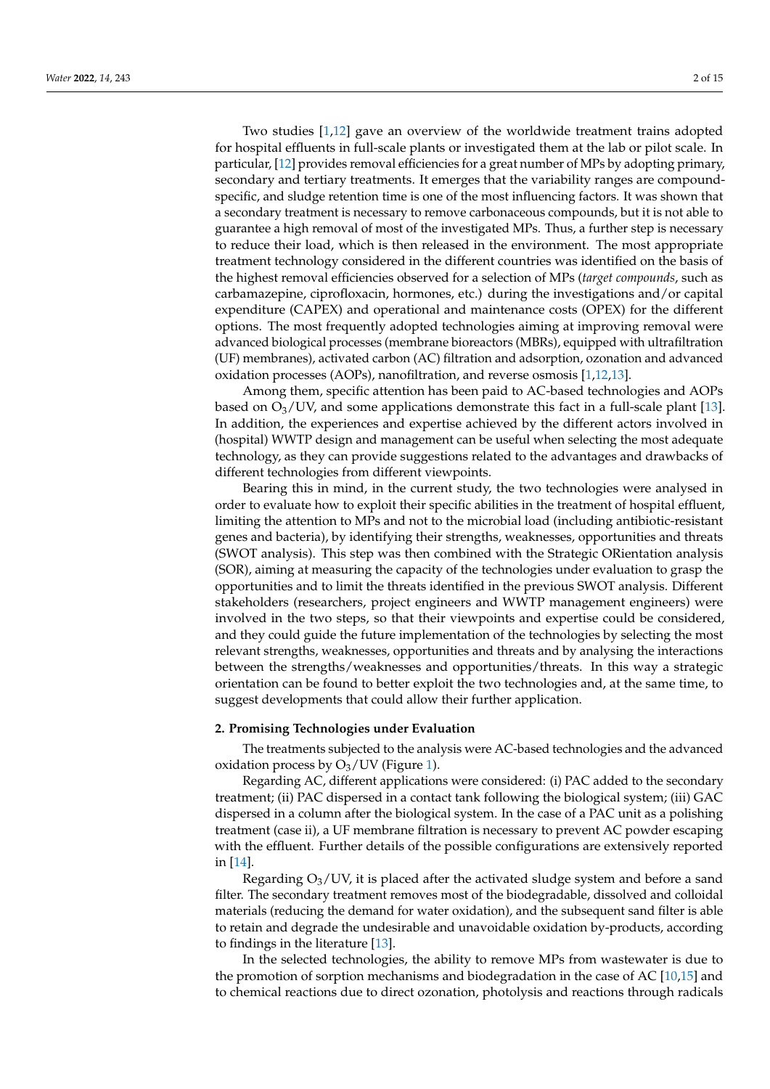Two studies [\[1,](#page-12-0)[12\]](#page-13-2) gave an overview of the worldwide treatment trains adopted for hospital effluents in full-scale plants or investigated them at the lab or pilot scale. In particular, [\[12\]](#page-13-2) provides removal efficiencies for a great number of MPs by adopting primary, secondary and tertiary treatments. It emerges that the variability ranges are compoundspecific, and sludge retention time is one of the most influencing factors. It was shown that a secondary treatment is necessary to remove carbonaceous compounds, but it is not able to guarantee a high removal of most of the investigated MPs. Thus, a further step is necessary to reduce their load, which is then released in the environment. The most appropriate treatment technology considered in the different countries was identified on the basis of the highest removal efficiencies observed for a selection of MPs (*target compounds*, such as carbamazepine, ciprofloxacin, hormones, etc.) during the investigations and/or capital expenditure (CAPEX) and operational and maintenance costs (OPEX) for the different options. The most frequently adopted technologies aiming at improving removal were advanced biological processes (membrane bioreactors (MBRs), equipped with ultrafiltration (UF) membranes), activated carbon (AC) filtration and adsorption, ozonation and advanced oxidation processes (AOPs), nanofiltration, and reverse osmosis [\[1](#page-12-0)[,12,](#page-13-2)[13\]](#page-13-3).

Among them, specific attention has been paid to AC-based technologies and AOPs based on  $O_3$ /UV, and some applications demonstrate this fact in a full-scale plant [\[13\]](#page-13-3). In addition, the experiences and expertise achieved by the different actors involved in (hospital) WWTP design and management can be useful when selecting the most adequate technology, as they can provide suggestions related to the advantages and drawbacks of different technologies from different viewpoints.

Bearing this in mind, in the current study, the two technologies were analysed in order to evaluate how to exploit their specific abilities in the treatment of hospital effluent, limiting the attention to MPs and not to the microbial load (including antibiotic-resistant genes and bacteria), by identifying their strengths, weaknesses, opportunities and threats (SWOT analysis). This step was then combined with the Strategic ORientation analysis (SOR), aiming at measuring the capacity of the technologies under evaluation to grasp the opportunities and to limit the threats identified in the previous SWOT analysis. Different stakeholders (researchers, project engineers and WWTP management engineers) were involved in the two steps, so that their viewpoints and expertise could be considered, and they could guide the future implementation of the technologies by selecting the most relevant strengths, weaknesses, opportunities and threats and by analysing the interactions between the strengths/weaknesses and opportunities/threats. In this way a strategic orientation can be found to better exploit the two technologies and, at the same time, to suggest developments that could allow their further application.

### **2. Promising Technologies under Evaluation**

The treatments subjected to the analysis were AC-based technologies and the advanced oxidation process by  $O_3$ /UV (Figure [1\)](#page-2-0).

Regarding AC, different applications were considered: (i) PAC added to the secondary treatment; (ii) PAC dispersed in a contact tank following the biological system; (iii) GAC dispersed in a column after the biological system. In the case of a PAC unit as a polishing treatment (case ii), a UF membrane filtration is necessary to prevent AC powder escaping with the effluent. Further details of the possible configurations are extensively reported in [\[14\]](#page-13-4).

Regarding  $O_3$ /UV, it is placed after the activated sludge system and before a sand filter. The secondary treatment removes most of the biodegradable, dissolved and colloidal materials (reducing the demand for water oxidation), and the subsequent sand filter is able to retain and degrade the undesirable and unavoidable oxidation by-products, according to findings in the literature [\[13\]](#page-13-3).

In the selected technologies, the ability to remove MPs from wastewater is due to the promotion of sorption mechanisms and biodegradation in the case of AC [\[10](#page-13-0)[,15\]](#page-13-5) and to chemical reactions due to direct ozonation, photolysis and reactions through radicals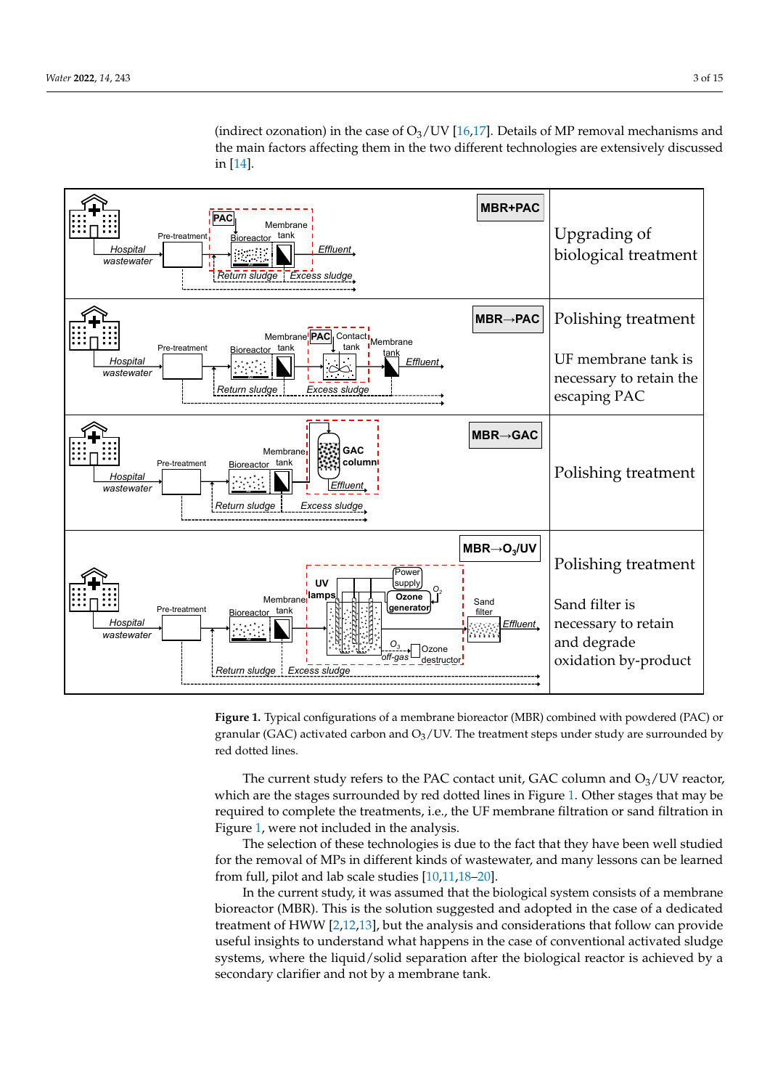<span id="page-2-0"></span>

(indirect ozonation) in the case of  $O_3$ /UV [16,17]. Details of MP removal mechanisms and the main factors affecting them in the two different technologies are extensively discussed in [\[14\]](#page-13-4).

> **Figure 1.** Typical configurations of a membrane bioreactor (MBR) combined with powdered (PAC) **Figure 1.** Typical configurations of a membrane bioreactor (MBR) combined with powdered (PAC) or granular (GAC) activated carbon and  $O<sub>3</sub>/UV$ . The treatment steps under study are surrounded by red dotted lines.

> which are the stages surrounded by red dotted lines in Figure 1. Other stages that may be required to complete the treatments, i.e., the UF membrane filtration or sand filtration in Figure 1, were not included in the analysis.<br>The case of a PAC unit as a part of a PAC unit as a part of a PAC unit as a part of a PAC unit as a part of a The current study refers to the PAC contact unit, GAC column and  $O<sub>3</sub>/UV$  reactor,

> for the removal of MPs in different kinds of wastewater, and many lessons can be learned from full, pilot and lab scale studies  $[10,11,18-20]$ . The selection of these technologies is due to the fact that they have been well studied

> bioreactor (MBR). This is the solution suggested and adopted in the case of a dedicated<br>tractment of UWW [2.12.12] but the spelarie and capel dentions that follow are nearly a filter. The secondary treatment removes most of the biodegradable, and colloin-the biodegradable, and colloisystems, where the liquid/solid separation after the biological reactor is achieved by a secondary clarifier and not by a membrane tank. In the current study, it was assumed that the biological system consists of a membrane treatment of HWW [\[2,](#page-12-1)[12,](#page-13-2)[13\]](#page-13-3), but the analysis and considerations that follow can provide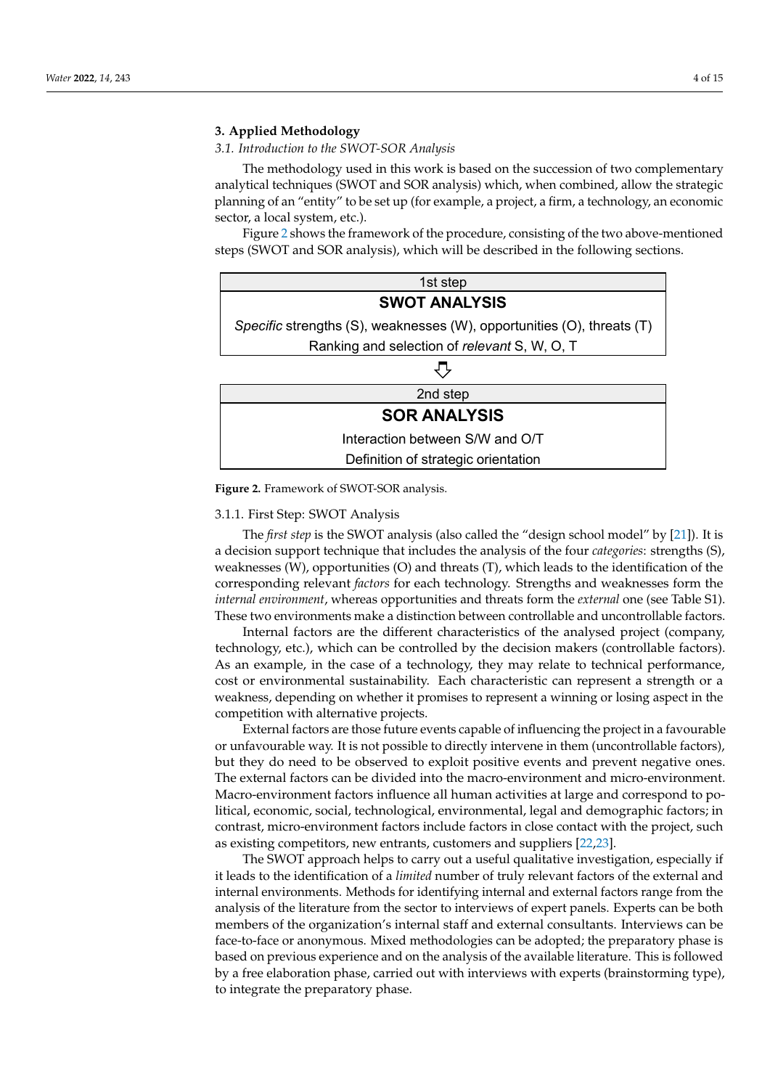### <span id="page-3-1"></span>**3. Applied Methodology**  $\mathbf{M}$  methodology used  $\mathbf{M}$  at based on the succession of two complementary of two complementary  $\mathbf{M}$

3.1. Introduction to the SWOT-SOR Analysis

*3.1. Introduction to the SWOT-SOR Analysis* 

The methodology used in this work is based on the succession of two complementary analytical techniques (SWOT and SOR analysis) which, when combined, allow the strategic<br>planning of an "ontity" to be set up (for example, a project, a firm, a technology an economic planning of an "entity" to be set up (for example, a project, a firm, a technology, an economic  $\frac{6}{5}$  sector, a local system, etc.).

Figure 2 shows the framework of the procedure, consi[st](#page-3-0)ing of the two above-mentioned<br>tioned in the following sections. steps (SWOT and SOR analysis), which will be described in the following sections.

<span id="page-3-0"></span>

| 1st step                                                               |  |  |  |  |  |  |  |  |
|------------------------------------------------------------------------|--|--|--|--|--|--|--|--|
| <b>SWOT ANALYSIS</b>                                                   |  |  |  |  |  |  |  |  |
| Specific strengths (S), weaknesses (W), opportunities (O), threats (T) |  |  |  |  |  |  |  |  |
| Ranking and selection of relevant S, W, O, T                           |  |  |  |  |  |  |  |  |
|                                                                        |  |  |  |  |  |  |  |  |
| 2nd step                                                               |  |  |  |  |  |  |  |  |
| <b>SOR ANALYSIS</b>                                                    |  |  |  |  |  |  |  |  |
| Interaction between S/W and O/T                                        |  |  |  |  |  |  |  |  |
| Definition of strategic orientation                                    |  |  |  |  |  |  |  |  |

**Figure 2.** Framework of SWOT-SOR analysis. **Figure 2.** Framework of SWOT-SOR analysis.

# 3.1.1. First Step: SWOT Analysis

3.1.1. First Step: SWOT Analysis a decision support technique that includes the analysis of the four *categories*: strengths (S), weaknesses (W), opportunities (O) and threats (T), which leads to the identification of the is a decision support technique that includes the analysis of the four *categories*: strengths *internal environment*, whereas opportunities and threats form the *external* one (see Table S1). These two environments make a distinction between controllable and uncontrollable factors. The *first step* is the SWOT analysis (also called the "design school model" by [\[21\]](#page-13-10)). It is corresponding relevant *factors* for each technology. Strengths and weaknesses form the

Internal factors are the unferent characteristics of the analysed project (comparty,<br>technology, etc.), which can be controlled by the decision makers (controllable factors). As an example, in the case of a technology, they may relate to technical performance, cost or environmental sustainability. Each characteristic can represent a strength or a<br>weakness depending on whether it promises to represent a winning or lesing aspect in the competition with alternative projects. Internal factors are the different characteristics of the analysed project (company, weakness, depending on whether it promises to represent a winning or losing aspect in the

External factors are those future events capable of influencing the project in a favourable  $\epsilon$ but they do need to be observed to exploit positive events and prevent negative ones. The external factors can be divided into the macro-environment and micro-environment. wiacio-environment ractors inhuence an numan activities at large and correspond to po-<br>litical, economic, social, technological, environmental, legal and demographic factors; in contrast, micro-environment factors include factors in close contact with the project, such as existing competitors, new entrants, customers and suppliers [\[22](#page-13-11)[,23\]](#page-13-12).<br>The SWOT approach belos to carry out a useful qualitative investior unfavourable way. It is not possible to directly intervene in them (uncontrollable factors), Macro-environment factors influence all human activities at large and correspond to po-

it leads to the identification of a *limited* number of truly relevant factors of the external and internal environments. Methods for identifying internal and external factors range from the<br>interventional controllable in the material controllable in the material controllable in the material controll members of the organization's internal staff and external consultants. Interviews can be members of the organization's internal staff and external consultants. Interviews can be face-to-face or anonymous. Mixed methodologies can be adopted; the preparatory phase is based on previous experience and on the analysis of the available inerature. This is followed<br>by a free elaboration phase, carried out with interviews with experts (brainstorming type), to integrate the preparatory phase. The SWOT approach helps to carry out a useful qualitative investigation, especially if analysis of the literature from the sector to interviews of expert panels. Experts can be both based on previous experience and on the analysis of the available literature. This is followed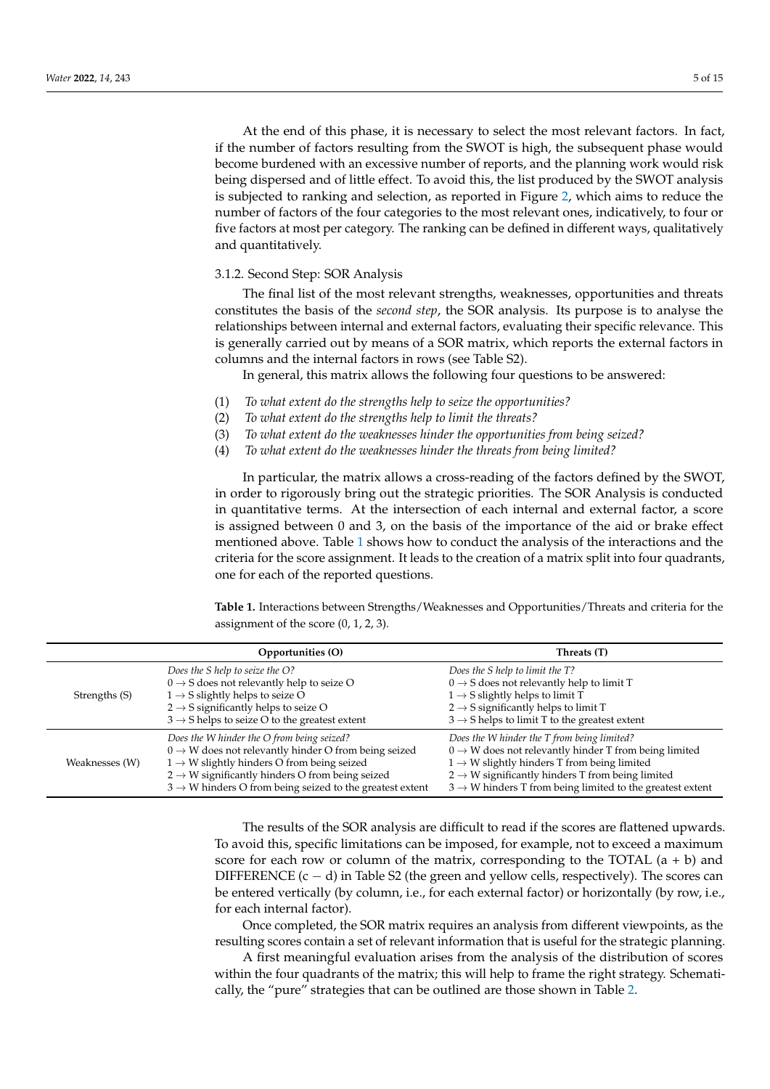At the end of this phase, it is necessary to select the most relevant factors. In fact, if the number of factors resulting from the SWOT is high, the subsequent phase would become burdened with an excessive number of reports, and the planning work would risk being dispersed and of little effect. To avoid this, the list produced by the SWOT analysis is subjected to ranking and selection, as reported in Figure [2,](#page-3-0) which aims to reduce the number of factors of the four categories to the most relevant ones, indicatively, to four or five factors at most per category. The ranking can be defined in different ways, qualitatively and quantitatively.

### 3.1.2. Second Step: SOR Analysis

The final list of the most relevant strengths, weaknesses, opportunities and threats constitutes the basis of the *second step*, the SOR analysis. Its purpose is to analyse the relationships between internal and external factors, evaluating their specific relevance. This is generally carried out by means of a SOR matrix, which reports the external factors in columns and the internal factors in rows (see Table S2).

In general, this matrix allows the following four questions to be answered:

- (1) *To what extent do the strengths help to seize the opportunities?*
- (2) *To what extent do the strengths help to limit the threats?*
- (3) *To what extent do the weaknesses hinder the opportunities from being seized?*
- (4) *To what extent do the weaknesses hinder the threats from being limited?*

In particular, the matrix allows a cross-reading of the factors defined by the SWOT, in order to rigorously bring out the strategic priorities. The SOR Analysis is conducted in quantitative terms. At the intersection of each internal and external factor, a score is assigned between 0 and 3, on the basis of the importance of the aid or brake effect mentioned above. Table [1](#page-4-0) shows how to conduct the analysis of the interactions and the criteria for the score assignment. It leads to the creation of a matrix split into four quadrants, one for each of the reported questions.

<span id="page-4-0"></span>**Table 1.** Interactions between Strengths/Weaknesses and Opportunities/Threats and criteria for the assignment of the score (0, 1, 2, 3).

|                | Opportunities (O)                                                                                                                                                                                                                                                                                               | Threats (T)                                                                                                                                                                                                                                                                                                          |
|----------------|-----------------------------------------------------------------------------------------------------------------------------------------------------------------------------------------------------------------------------------------------------------------------------------------------------------------|----------------------------------------------------------------------------------------------------------------------------------------------------------------------------------------------------------------------------------------------------------------------------------------------------------------------|
| Strengths (S)  | Does the S help to seize the O?<br>$0 \rightarrow S$ does not relevantly help to seize O<br>$1 \rightarrow S$ slightly helps to seize O<br>$2 \rightarrow S$ significantly helps to seize O<br>$3 \rightarrow S$ helps to seize O to the greatest extent                                                        | Does the S help to limit the T?<br>$0 \rightarrow S$ does not relevantly help to limit T<br>$1 \rightarrow S$ slightly helps to limit T<br>$2 \rightarrow S$ significantly helps to limit T<br>$3 \rightarrow S$ helps to limit T to the greatest extent                                                             |
| Weaknesses (W) | Does the W hinder the O from being seized?<br>$0 \rightarrow W$ does not relevantly hinder O from being seized<br>$1 \rightarrow W$ slightly hinders O from being seized<br>$2 \rightarrow W$ significantly hinders O from being seized<br>$3 \rightarrow W$ hinders O from being seized to the greatest extent | Does the W hinder the T from being limited?<br>$0 \rightarrow W$ does not relevantly hinder T from being limited<br>$1 \rightarrow W$ slightly hinders T from being limited<br>$2 \rightarrow W$ significantly hinders T from being limited<br>$3 \rightarrow W$ hinders T from being limited to the greatest extent |

The results of the SOR analysis are difficult to read if the scores are flattened upwards. To avoid this, specific limitations can be imposed, for example, not to exceed a maximum score for each row or column of the matrix, corresponding to the TOTAL  $(a + b)$  and DIFFERENCE  $(c - d)$  in Table S2 (the green and yellow cells, respectively). The scores can be entered vertically (by column, i.e., for each external factor) or horizontally (by row, i.e., for each internal factor).

Once completed, the SOR matrix requires an analysis from different viewpoints, as the resulting scores contain a set of relevant information that is useful for the strategic planning.

A first meaningful evaluation arises from the analysis of the distribution of scores within the four quadrants of the matrix; this will help to frame the right strategy. Schematically, the "pure" strategies that can be outlined are those shown in Table [2.](#page-5-0)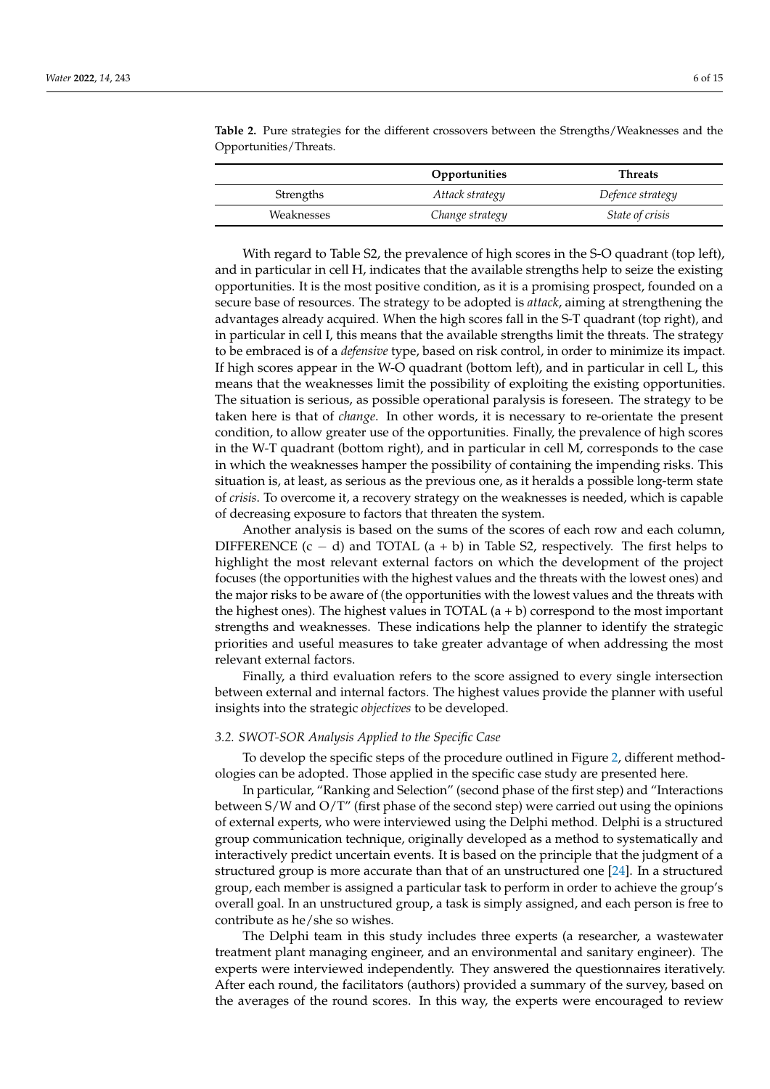|            | Opportunities   | <b>Threats</b>   |  |  |
|------------|-----------------|------------------|--|--|
| Strengths  | Attack strategy | Defence strategy |  |  |
| Weaknesses | Change strategy | State of crisis  |  |  |

<span id="page-5-0"></span>**Table 2.** Pure strategies for the different crossovers between the Strengths/Weaknesses and the Opportunities/Threats.

With regard to Table S2, the prevalence of high scores in the S-O quadrant (top left), and in particular in cell H, indicates that the available strengths help to seize the existing opportunities. It is the most positive condition, as it is a promising prospect, founded on a secure base of resources. The strategy to be adopted is *attack*, aiming at strengthening the advantages already acquired. When the high scores fall in the S-T quadrant (top right), and in particular in cell I, this means that the available strengths limit the threats. The strategy to be embraced is of a *defensive* type, based on risk control, in order to minimize its impact. If high scores appear in the W-O quadrant (bottom left), and in particular in cell L, this means that the weaknesses limit the possibility of exploiting the existing opportunities. The situation is serious, as possible operational paralysis is foreseen. The strategy to be taken here is that of *change*. In other words, it is necessary to re-orientate the present condition, to allow greater use of the opportunities. Finally, the prevalence of high scores in the W-T quadrant (bottom right), and in particular in cell M, corresponds to the case in which the weaknesses hamper the possibility of containing the impending risks. This situation is, at least, as serious as the previous one, as it heralds a possible long-term state of *crisis*. To overcome it, a recovery strategy on the weaknesses is needed, which is capable of decreasing exposure to factors that threaten the system.

Another analysis is based on the sums of the scores of each row and each column, DIFFERENCE  $(c - d)$  and TOTAL  $(a + b)$  in Table S2, respectively. The first helps to highlight the most relevant external factors on which the development of the project focuses (the opportunities with the highest values and the threats with the lowest ones) and the major risks to be aware of (the opportunities with the lowest values and the threats with the highest ones). The highest values in TOTAL  $(a + b)$  correspond to the most important strengths and weaknesses. These indications help the planner to identify the strategic priorities and useful measures to take greater advantage of when addressing the most relevant external factors.

Finally, a third evaluation refers to the score assigned to every single intersection between external and internal factors. The highest values provide the planner with useful insights into the strategic *objectives* to be developed.

### *3.2. SWOT-SOR Analysis Applied to the Specific Case*

To develop the specific steps of the procedure outlined in Figure [2,](#page-3-0) different methodologies can be adopted. Those applied in the specific case study are presented here.

In particular, "Ranking and Selection" (second phase of the first step) and "Interactions between S/W and O/T" (first phase of the second step) were carried out using the opinions of external experts, who were interviewed using the Delphi method. Delphi is a structured group communication technique, originally developed as a method to systematically and interactively predict uncertain events. It is based on the principle that the judgment of a structured group is more accurate than that of an unstructured one [\[24\]](#page-13-13). In a structured group, each member is assigned a particular task to perform in order to achieve the group's overall goal. In an unstructured group, a task is simply assigned, and each person is free to contribute as he/she so wishes.

The Delphi team in this study includes three experts (a researcher, a wastewater treatment plant managing engineer, and an environmental and sanitary engineer). The experts were interviewed independently. They answered the questionnaires iteratively. After each round, the facilitators (authors) provided a summary of the survey, based on the averages of the round scores. In this way, the experts were encouraged to review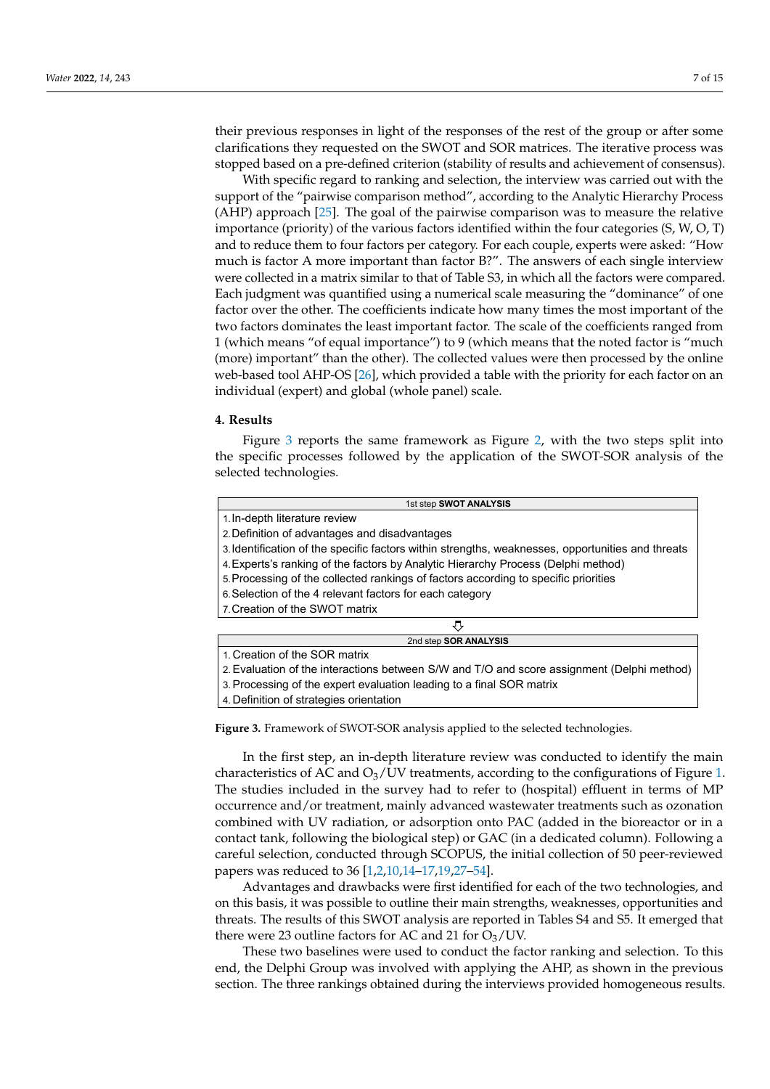their previous responses in light of the responses of the rest of the group or after some clarifications they requested on the SWOT and SOR matrices. The iterative process was stopped based on a pre-defined criterion (stability of results and achievement of consensus).

With specific regard to ranking and selection, the interview was carried out with the support of the "pairwise comparison method", according to the Analytic Hierarchy Process (AHP) approach [\[25\]](#page-13-14). The goal of the pairwise comparison was to measure the relative importance (priority) of the various factors identified within the four categories (S, W, O, T) and to reduce them to four factors per category. For each couple, experts were asked: "How much is factor A more important than factor B?". The answers of each single interview were collected in a matrix similar to that of Table S3, in which all the factors were compared. Each judgment was quantified using a numerical scale measuring the "dominance" of one factor over the other. The coefficients indicate how many times the most important of the two factors dominates the least important factor. The scale of the coefficients ranged from 1 (which means "of equal importance") to 9 (which means that the noted factor is "much (more) important" than the other). The collected values were then processed by the online web-based tool AHP-OS [\[26\]](#page-13-15), which provided a table with the priority for each factor on an individual (expert) and global (whole panel) scale.

### **4. Results**

Figure [3](#page-6-0) reports the same framework as Figure [2,](#page-3-0) with the two steps split into the specific processes followed by the application of the SWOT-SOR analysis of the selected technologies.

<span id="page-6-0"></span>

| 1st step SWOT ANALYSIS                                                                            |  |  |  |  |  |  |  |
|---------------------------------------------------------------------------------------------------|--|--|--|--|--|--|--|
| 1. In-depth literature review                                                                     |  |  |  |  |  |  |  |
| 2. Definition of advantages and disadvantages                                                     |  |  |  |  |  |  |  |
| 3. Identification of the specific factors within strengths, weaknesses, opportunities and threats |  |  |  |  |  |  |  |
| 4. Experts's ranking of the factors by Analytic Hierarchy Process (Delphi method)                 |  |  |  |  |  |  |  |
| 5. Processing of the collected rankings of factors according to specific priorities               |  |  |  |  |  |  |  |
| 6. Selection of the 4 relevant factors for each category                                          |  |  |  |  |  |  |  |
| 7. Creation of the SWOT matrix                                                                    |  |  |  |  |  |  |  |
| ₹,                                                                                                |  |  |  |  |  |  |  |
| 2nd step SOR ANALYSIS                                                                             |  |  |  |  |  |  |  |
| 1. Creation of the SOR matrix                                                                     |  |  |  |  |  |  |  |
| 2. Evaluation of the interactions between S/W and T/O and score assignment (Delphi method)        |  |  |  |  |  |  |  |
| 3. Processing of the expert evaluation leading to a final SOR matrix                              |  |  |  |  |  |  |  |

4. Definition of strategies orientation

**Figure 3.** Framework of SWOT-SOR analysis applied to the selected technologies. **Figure 3.** Framework of SWOT-SOR analysis applied to the selected technologies.

characteristics of AC and  $\mathrm{O}_3/\mathrm{UV}$  treatments, according to the config[u](#page-2-0)rations of Figure 1.<br>The studies included in the survey had to refer to (hespital) effluent in terms of MP occurrence and/or treatment, mainly advanced wastewater treatments such as ozonation combined with UV radiation, or adsorption onto PAC (added in the bioreactor or in a<br>combined with UV radiation, or adsorption onto PAC (added in the bioreactor or in a careful selection, conducted through SCOPUS, the initial collection of 50 peer-reviewed p[a](#page-12-1)pers was reduced to  $36$  [1,2,10,14–17,19,27–54]. In the first step, an in-depth literature review was conducted to identify the main The studies included in the survey had to refer to (hospital) effluent in terms of MP contact tank, following the biological step) or GAC (in a dedicated column). Following a

Advantages and drawbacks were first identified for each or the two technologies, and<br>on this basis, it was possible to outline their main strengths, weaknesses, opportunities and threats. The results of this SWOT analysis are reported in Tables S4 and S5. It emerged that there were 23 outline factors for AC and 21 for  $O_3$ /UV.<br>These two baselines were used to conduct the factor  $\mathbf{r}$ Advantages and drawbacks were first identified for each of the two technologies, and

end, the Delphi Group was involved with applying the AHP, as shown in the previous section. The three rankings obtained during the interviews provided homogeneous results. These two baselines were used to conduct the factor ranking and selection. To this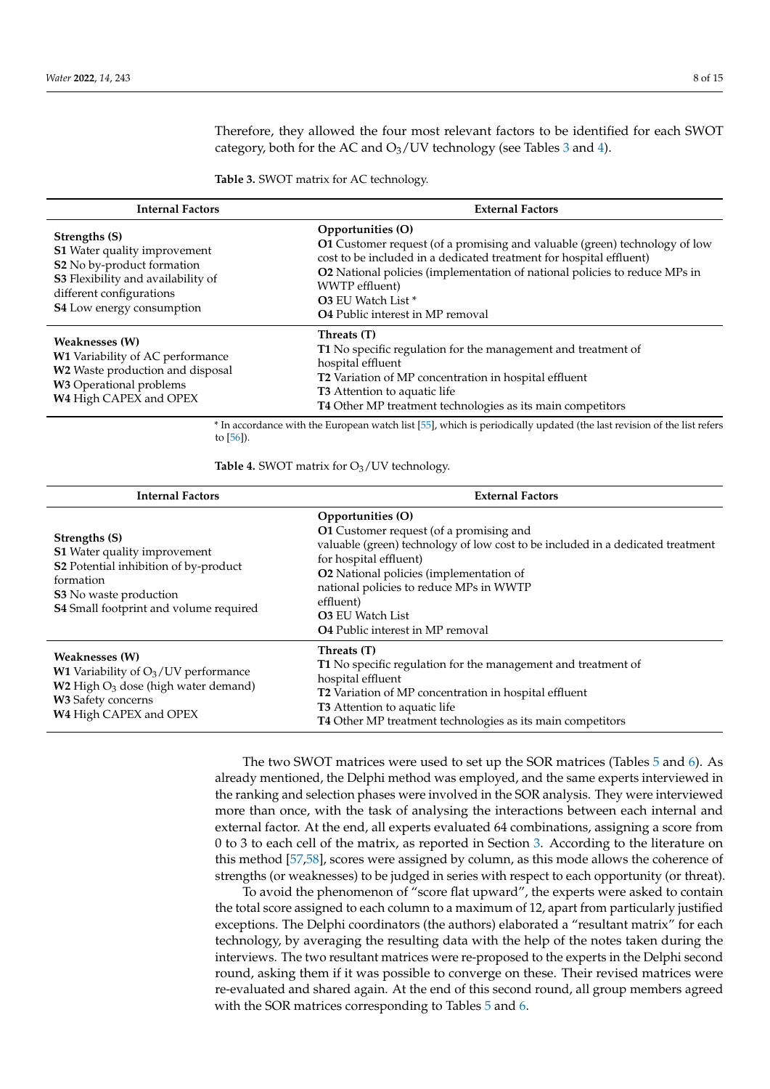Therefore, they allowed the four most relevant factors to be identified for each SWOT category, both for the AC and  $O_3$  $O_3$ /UV technology (see Tables 3 and [4\)](#page-7-1).

<span id="page-7-0"></span>**Table 3.** SWOT matrix for AC technology.

| <b>Internal Factors</b>                                                                                                                                                    | <b>External Factors</b>                                                                                                                                                                                                                                                                                                                        |  |  |  |  |  |
|----------------------------------------------------------------------------------------------------------------------------------------------------------------------------|------------------------------------------------------------------------------------------------------------------------------------------------------------------------------------------------------------------------------------------------------------------------------------------------------------------------------------------------|--|--|--|--|--|
| Strengths (S)<br>S1 Water quality improvement<br>S2 No by-product formation<br>S3 Flexibility and availability of<br>different configurations<br>S4 Low energy consumption | Opportunities (O)<br>O1 Customer request (of a promising and valuable (green) technology of low<br>cost to be included in a dedicated treatment for hospital effluent)<br>O2 National policies (implementation of national policies to reduce MPs in<br>WWTP effluent)<br><b>O3</b> EU Watch List *<br><b>O4</b> Public interest in MP removal |  |  |  |  |  |
| Weaknesses (W)<br>W1 Variability of AC performance<br>W2 Waste production and disposal<br>W3 Operational problems<br>W4 High CAPEX and OPEX                                | Threats (T)<br>T1 No specific regulation for the management and treatment of<br>hospital effluent<br>T2 Variation of MP concentration in hospital effluent<br><b>T3</b> Attention to aquatic life<br>T4 Other MP treatment technologies as its main competitors                                                                                |  |  |  |  |  |

\* In accordance with the European watch list [\[55\]](#page-14-1), which is periodically updated (the last revision of the list refers to  $[56]$ )

<span id="page-7-1"></span>**Table 4.** SWOT matrix for  $O_3$ /UV technology.

| <b>Internal Factors</b>                                                                                                                                                        | <b>External Factors</b>                                                                                                                                                                                                                                                                                                                            |  |  |  |  |  |
|--------------------------------------------------------------------------------------------------------------------------------------------------------------------------------|----------------------------------------------------------------------------------------------------------------------------------------------------------------------------------------------------------------------------------------------------------------------------------------------------------------------------------------------------|--|--|--|--|--|
| Strengths (S)<br>S1 Water quality improvement<br>S2 Potential inhibition of by-product<br>formation<br><b>S3</b> No waste production<br>S4 Small footprint and volume required | Opportunities (O)<br>O1 Customer request (of a promising and<br>valuable (green) technology of low cost to be included in a dedicated treatment<br>for hospital effluent)<br>O2 National policies (implementation of<br>national policies to reduce MPs in WWTP<br>effluent)<br><b>O3 EU Watch List</b><br><b>O4</b> Public interest in MP removal |  |  |  |  |  |
| <b>Weaknesses (W)</b><br><b>W1</b> Variability of $O_3$ /UV performance<br>$W2$ High $O_3$ dose (high water demand)<br>W3 Safety concerns<br>W4 High CAPEX and OPEX            | Threats (T)<br>T1 No specific regulation for the management and treatment of<br>hospital effluent<br>T2 Variation of MP concentration in hospital effluent<br><b>T3</b> Attention to aquatic life<br>T4 Other MP treatment technologies as its main competitors                                                                                    |  |  |  |  |  |

The two SWOT matrices were used to set up the SOR matrices (Tables [5](#page-8-0) and [6\)](#page-8-1). As already mentioned, the Delphi method was employed, and the same experts interviewed in the ranking and selection phases were involved in the SOR analysis. They were interviewed more than once, with the task of analysing the interactions between each internal and external factor. At the end, all experts evaluated 64 combinations, assigning a score from 0 to 3 to each cell of the matrix, as reported in Section [3.](#page-3-1) According to the literature on this method [\[57](#page-14-3)[,58\]](#page-14-4), scores were assigned by column, as this mode allows the coherence of strengths (or weaknesses) to be judged in series with respect to each opportunity (or threat).

To avoid the phenomenon of "score flat upward", the experts were asked to contain the total score assigned to each column to a maximum of 12, apart from particularly justified exceptions. The Delphi coordinators (the authors) elaborated a "resultant matrix" for each technology, by averaging the resulting data with the help of the notes taken during the interviews. The two resultant matrices were re-proposed to the experts in the Delphi second round, asking them if it was possible to converge on these. Their revised matrices were re-evaluated and shared again. At the end of this second round, all group members agreed with the SOR matrices corresponding to Tables [5](#page-8-0) and [6.](#page-8-1)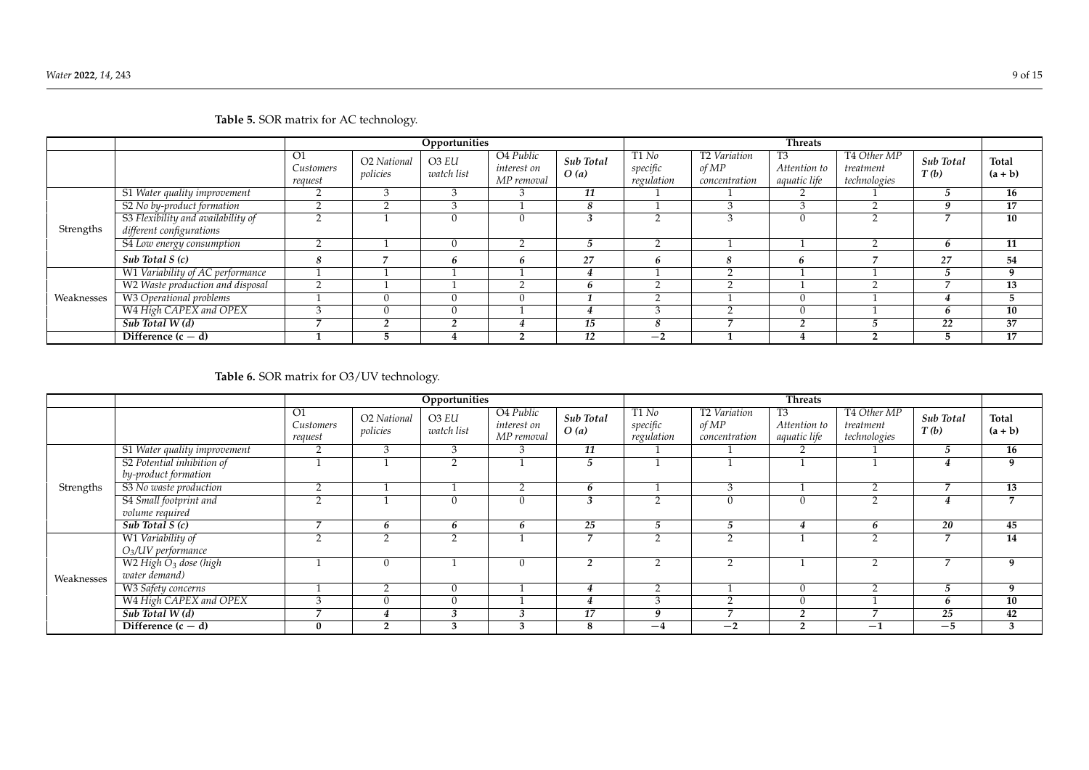|            |                                                                | Opportunities              |                                     |                     |                                        |                   | <b>Threats</b>                  |                                                    |                                                |                                          |                          |                    |
|------------|----------------------------------------------------------------|----------------------------|-------------------------------------|---------------------|----------------------------------------|-------------------|---------------------------------|----------------------------------------------------|------------------------------------------------|------------------------------------------|--------------------------|--------------------|
|            |                                                                | O1<br>Customers<br>request | O <sub>2</sub> National<br>policies | O3 EU<br>watch list | O4 Public<br>interest on<br>MP removal | Sub Total<br>O(a) | T1 No<br>specific<br>regulation | T <sub>2</sub> Variation<br>of MP<br>concentration | T <sub>3</sub><br>Attention to<br>aquatic life | T4 Other MP<br>treatment<br>technologies | <b>Sub Total</b><br>T(b) | Total<br>$(a + b)$ |
|            | S1 Water quality improvement                                   | ∠                          |                                     | 3                   |                                        | 11                |                                 |                                                    |                                                |                                          |                          | 16                 |
|            | S2 No by-product formation                                     |                            | $\sim$                              | 3                   |                                        |                   |                                 |                                                    |                                                |                                          | q                        | 17                 |
| Strengths  | S3 Flexibility and availability of<br>different configurations | c                          |                                     | $\Omega$            | $\Omega$                               |                   |                                 | $\overline{\phantom{0}}$<br>٠,                     |                                                |                                          |                          | 10                 |
|            | S4 Low energy consumption                                      | ◠<br>∠                     |                                     | $\theta$            | $\sim$                                 |                   |                                 |                                                    |                                                |                                          | h                        | 11                 |
|            | Sub Total S(c)                                                 | 8                          |                                     | h                   |                                        | 27                | n                               |                                                    |                                                |                                          | 27                       | 54                 |
| Weaknesses | W1 Variability of AC performance                               |                            |                                     |                     |                                        |                   |                                 | $\sim$                                             |                                                |                                          |                          | q                  |
|            | W2 Waste production and disposal                               | $\overline{2}$             |                                     |                     |                                        | 'n                |                                 | $\sim$                                             |                                                |                                          |                          | 13                 |
|            | W3 Operational problems                                        |                            |                                     | $\Omega$            | $\Omega$                               |                   |                                 |                                                    |                                                |                                          |                          |                    |
|            | W4 High CAPEX and OPEX                                         | $\sim$                     |                                     | $\Omega$            |                                        |                   | $\sim$                          | $\sim$                                             |                                                |                                          | <sub>b</sub>             | 10                 |
|            | Sub Total W(d)                                                 |                            |                                     |                     |                                        | 15                |                                 |                                                    |                                                |                                          | 22                       | 37                 |
|            | Difference $(c - d)$                                           |                            |                                     |                     |                                        | 12                | $-2$                            |                                                    |                                                |                                          |                          | 17                 |

**Table 5.** SOR matrix for AC technology.

# **Table 6.** SOR matrix for O3/UV technology.

<span id="page-8-1"></span><span id="page-8-0"></span>

|            |                                   | Opportunities                           |                         |                                 |                                                    | <b>Threats</b>    |                                            |                                                    |                                    |                                          |                          |                    |
|------------|-----------------------------------|-----------------------------------------|-------------------------|---------------------------------|----------------------------------------------------|-------------------|--------------------------------------------|----------------------------------------------------|------------------------------------|------------------------------------------|--------------------------|--------------------|
|            |                                   | $\overline{O1}$<br>Customers<br>request | O2 National<br>policies | O <sub>3</sub> EU<br>watch list | O <sub>4</sub> Public<br>interest on<br>MP removal | Sub Total<br>O(a) | T1N <sub>0</sub><br>specific<br>regulation | T <sub>2</sub> Variation<br>of MP<br>concentration | T3<br>Attention to<br>aquatic life | T4 Other MP<br>treatment<br>technologies | Sub Total<br>T(b)        | Total<br>$(a + b)$ |
|            | S1 Water quality improvement      | 2                                       | 3                       | 3                               | 3                                                  | 11                |                                            |                                                    |                                    |                                          | 5                        | 16                 |
|            | S2 Potential inhibition of        |                                         |                         | $\overline{2}$                  |                                                    | 5                 |                                            |                                                    |                                    |                                          | 4                        | 9                  |
|            | by-product formation              |                                         |                         |                                 |                                                    |                   |                                            |                                                    |                                    |                                          |                          |                    |
| Strengths  | S3 No waste production            | $\overline{2}$                          |                         |                                 | - 2                                                | <sub>b</sub>      |                                            | 3                                                  |                                    | $\sim$                                   | $\overline{ }$           | 13                 |
|            | S4 Small footprint and            | $\sim$                                  |                         | $\theta$                        | $\Omega$                                           | 3                 | $\sim$                                     |                                                    | $\Omega$                           |                                          | 4                        | 7                  |
|            | volume required                   |                                         |                         |                                 |                                                    |                   |                                            |                                                    |                                    |                                          |                          |                    |
|            | Sub Total $S(c)$                  |                                         | <sub>b</sub>            | 6                               | h                                                  | 25                |                                            |                                                    |                                    |                                          | 20                       | 45                 |
|            | W1 Variability of                 | $\sim$                                  | C                       | $\overline{2}$                  |                                                    | -                 | $\sim$                                     | $\sim$                                             |                                    | $\sim$                                   | $\overline{ }$           | 14                 |
|            | $O3/UV$ performance               |                                         |                         |                                 |                                                    |                   |                                            |                                                    |                                    |                                          |                          |                    |
| Weaknesses | W2 High O <sub>3</sub> dose (high |                                         |                         |                                 | $\Omega$                                           | $\mathfrak{p}$    | $\sim$                                     | $\sim$                                             |                                    | $\sim$                                   | $\overline{\phantom{0}}$ | 9                  |
|            | water demand)                     |                                         |                         |                                 |                                                    |                   |                                            |                                                    |                                    |                                          |                          |                    |
|            | W3 Safety concerns                |                                         | ◠<br>∠                  | $\theta$                        |                                                    | 4                 | $\sim$                                     |                                                    | $\Omega$                           | $\sim$                                   | 5                        | 9                  |
|            | W4 High CAPEX and OPEX            | $\sim$                                  |                         | $\theta$                        |                                                    | 4                 | $\sim$                                     | $\sim$                                             | $\Omega$                           |                                          | b                        | 10                 |
|            | Sub Total W(d)                    |                                         |                         | $\mathbf{\hat{z}}$<br>Í         | $\sqrt{2}$                                         | 17                | q                                          | $\overline{\phantom{0}}$                           | $\sim$                             |                                          | 25                       | 42                 |
|            | Difference $(c - d)$              | $\bf{0}$                                | $\overline{\mathbf{2}}$ | 3                               | $\sim$<br>- 3                                      | ×                 | $-4$                                       | $-2$                                               | $\sqrt{2}$                         | $-1$                                     | $-5$                     | 3                  |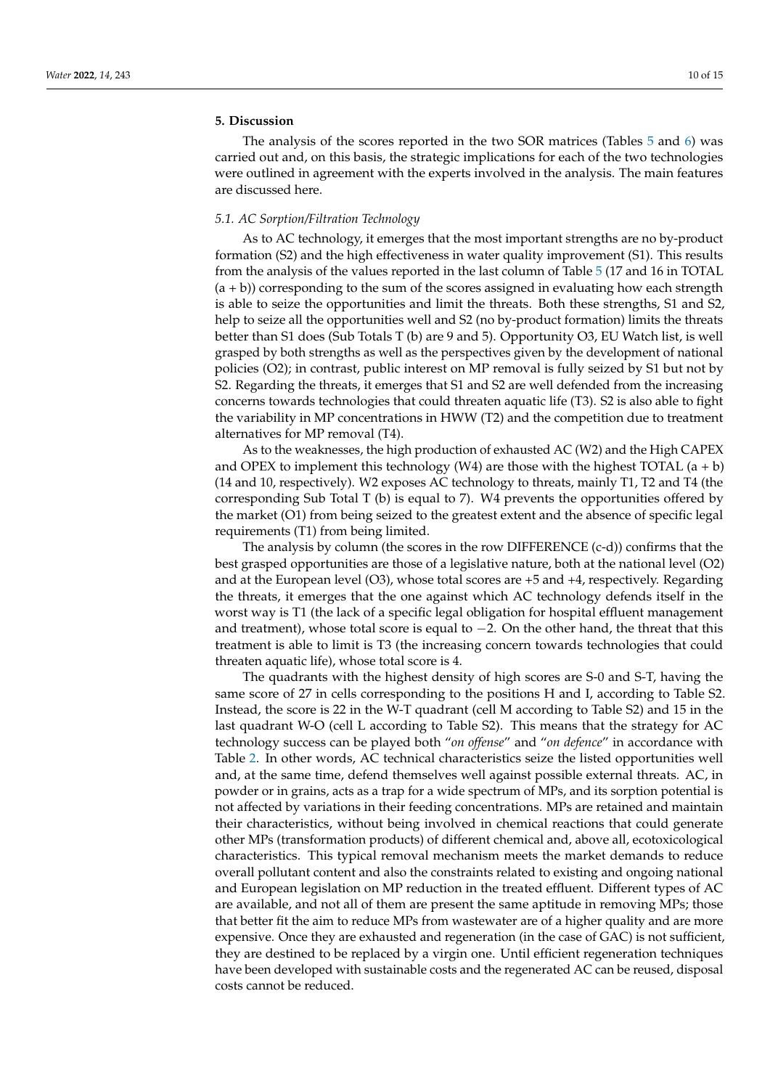# **5. Discussion**

The analysis of the scores reported in the two SOR matrices (Tables [5](#page-8-0) and [6\)](#page-8-1) was carried out and, on this basis, the strategic implications for each of the two technologies were outlined in agreement with the experts involved in the analysis. The main features are discussed here.

# *5.1. AC Sorption/Filtration Technology*

As to AC technology, it emerges that the most important strengths are no by-product formation (S2) and the high effectiveness in water quality improvement (S1). This results from the analysis of the values reported in the last column of Table [5](#page-8-0) (17 and 16 in TOTAL  $(a + b)$ ) corresponding to the sum of the scores assigned in evaluating how each strength is able to seize the opportunities and limit the threats. Both these strengths, S1 and S2, help to seize all the opportunities well and S2 (no by-product formation) limits the threats better than S1 does (Sub Totals T (b) are 9 and 5). Opportunity O3, EU Watch list, is well grasped by both strengths as well as the perspectives given by the development of national policies (O2); in contrast, public interest on MP removal is fully seized by S1 but not by S2. Regarding the threats, it emerges that S1 and S2 are well defended from the increasing concerns towards technologies that could threaten aquatic life (T3). S2 is also able to fight the variability in MP concentrations in HWW (T2) and the competition due to treatment alternatives for MP removal (T4).

As to the weaknesses, the high production of exhausted AC (W2) and the High CAPEX and OPEX to implement this technology (W4) are those with the highest TOTAL  $(a + b)$ (14 and 10, respectively). W2 exposes AC technology to threats, mainly T1, T2 and T4 (the corresponding Sub Total T (b) is equal to 7). W4 prevents the opportunities offered by the market (O1) from being seized to the greatest extent and the absence of specific legal requirements (T1) from being limited.

The analysis by column (the scores in the row DIFFERENCE (c-d)) confirms that the best grasped opportunities are those of a legislative nature, both at the national level (O2) and at the European level (O3), whose total scores are +5 and +4, respectively. Regarding the threats, it emerges that the one against which AC technology defends itself in the worst way is T1 (the lack of a specific legal obligation for hospital effluent management and treatment), whose total score is equal to −2. On the other hand, the threat that this treatment is able to limit is T3 (the increasing concern towards technologies that could threaten aquatic life), whose total score is 4.

The quadrants with the highest density of high scores are S-0 and S-T, having the same score of 27 in cells corresponding to the positions H and I, according to Table S2. Instead, the score is 22 in the W-T quadrant (cell M according to Table S2) and 15 in the last quadrant W-O (cell L according to Table S2). This means that the strategy for AC technology success can be played both "*on offense*" and "*on defence*" in accordance with Table [2.](#page-5-0) In other words, AC technical characteristics seize the listed opportunities well and, at the same time, defend themselves well against possible external threats. AC, in powder or in grains, acts as a trap for a wide spectrum of MPs, and its sorption potential is not affected by variations in their feeding concentrations. MPs are retained and maintain their characteristics, without being involved in chemical reactions that could generate other MPs (transformation products) of different chemical and, above all, ecotoxicological characteristics. This typical removal mechanism meets the market demands to reduce overall pollutant content and also the constraints related to existing and ongoing national and European legislation on MP reduction in the treated effluent. Different types of AC are available, and not all of them are present the same aptitude in removing MPs; those that better fit the aim to reduce MPs from wastewater are of a higher quality and are more expensive. Once they are exhausted and regeneration (in the case of GAC) is not sufficient, they are destined to be replaced by a virgin one. Until efficient regeneration techniques have been developed with sustainable costs and the regenerated AC can be reused, disposal costs cannot be reduced.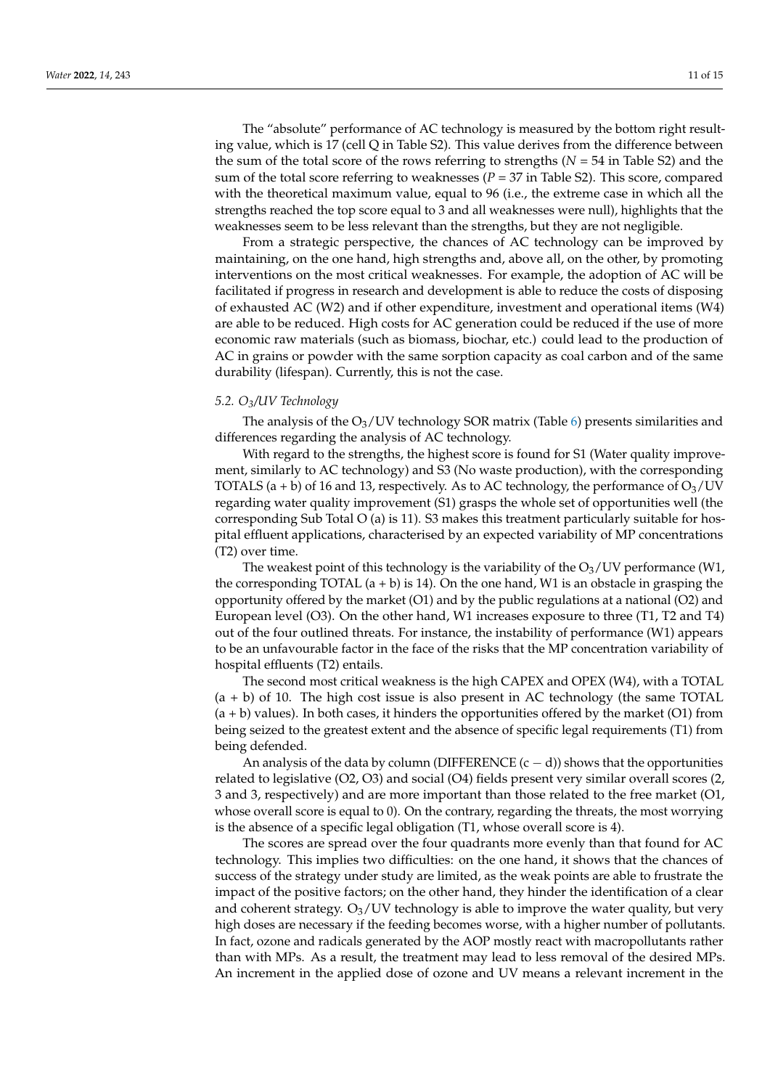The "absolute" performance of AC technology is measured by the bottom right resulting value, which is 17 (cell Q in Table S2). This value derives from the difference between the sum of the total score of the rows referring to strengths (*N* = 54 in Table S2) and the sum of the total score referring to weaknesses  $(P = 37$  in Table S2). This score, compared with the theoretical maximum value, equal to 96 (i.e., the extreme case in which all the strengths reached the top score equal to 3 and all weaknesses were null), highlights that the weaknesses seem to be less relevant than the strengths, but they are not negligible.

From a strategic perspective, the chances of AC technology can be improved by maintaining, on the one hand, high strengths and, above all, on the other, by promoting interventions on the most critical weaknesses. For example, the adoption of AC will be facilitated if progress in research and development is able to reduce the costs of disposing of exhausted AC (W2) and if other expenditure, investment and operational items (W4) are able to be reduced. High costs for AC generation could be reduced if the use of more economic raw materials (such as biomass, biochar, etc.) could lead to the production of AC in grains or powder with the same sorption capacity as coal carbon and of the same durability (lifespan). Currently, this is not the case.

### *5.2. O3/UV Technology*

The analysis of the  $O_3$ /UV technology SOR matrix (Table [6\)](#page-8-1) presents similarities and differences regarding the analysis of AC technology.

With regard to the strengths, the highest score is found for S1 (Water quality improvement, similarly to AC technology) and S3 (No waste production), with the corresponding TOTALS (a + b) of 16 and 13, respectively. As to AC technology, the performance of  $O_3$ /UV regarding water quality improvement (S1) grasps the whole set of opportunities well (the corresponding Sub Total O (a) is 11). S3 makes this treatment particularly suitable for hospital effluent applications, characterised by an expected variability of MP concentrations (T2) over time.

The weakest point of this technology is the variability of the  $O<sub>3</sub>/UV$  performance (W1, the corresponding TOTAL  $(a + b)$  is 14). On the one hand, W1 is an obstacle in grasping the opportunity offered by the market (O1) and by the public regulations at a national (O2) and European level (O3). On the other hand, W1 increases exposure to three (T1, T2 and T4) out of the four outlined threats. For instance, the instability of performance (W1) appears to be an unfavourable factor in the face of the risks that the MP concentration variability of hospital effluents (T2) entails.

The second most critical weakness is the high CAPEX and OPEX (W4), with a TOTAL (a + b) of 10. The high cost issue is also present in AC technology (the same TOTAL  $(a + b)$  values). In both cases, it hinders the opportunities offered by the market  $(O1)$  from being seized to the greatest extent and the absence of specific legal requirements (T1) from being defended.

An analysis of the data by column (DIFFERENCE  $(c - d)$ ) shows that the opportunities related to legislative (O2, O3) and social (O4) fields present very similar overall scores (2, 3 and 3, respectively) and are more important than those related to the free market (O1, whose overall score is equal to 0). On the contrary, regarding the threats, the most worrying is the absence of a specific legal obligation (T1, whose overall score is 4).

The scores are spread over the four quadrants more evenly than that found for AC technology. This implies two difficulties: on the one hand, it shows that the chances of success of the strategy under study are limited, as the weak points are able to frustrate the impact of the positive factors; on the other hand, they hinder the identification of a clear and coherent strategy.  $O_3$ /UV technology is able to improve the water quality, but very high doses are necessary if the feeding becomes worse, with a higher number of pollutants. In fact, ozone and radicals generated by the AOP mostly react with macropollutants rather than with MPs. As a result, the treatment may lead to less removal of the desired MPs. An increment in the applied dose of ozone and UV means a relevant increment in the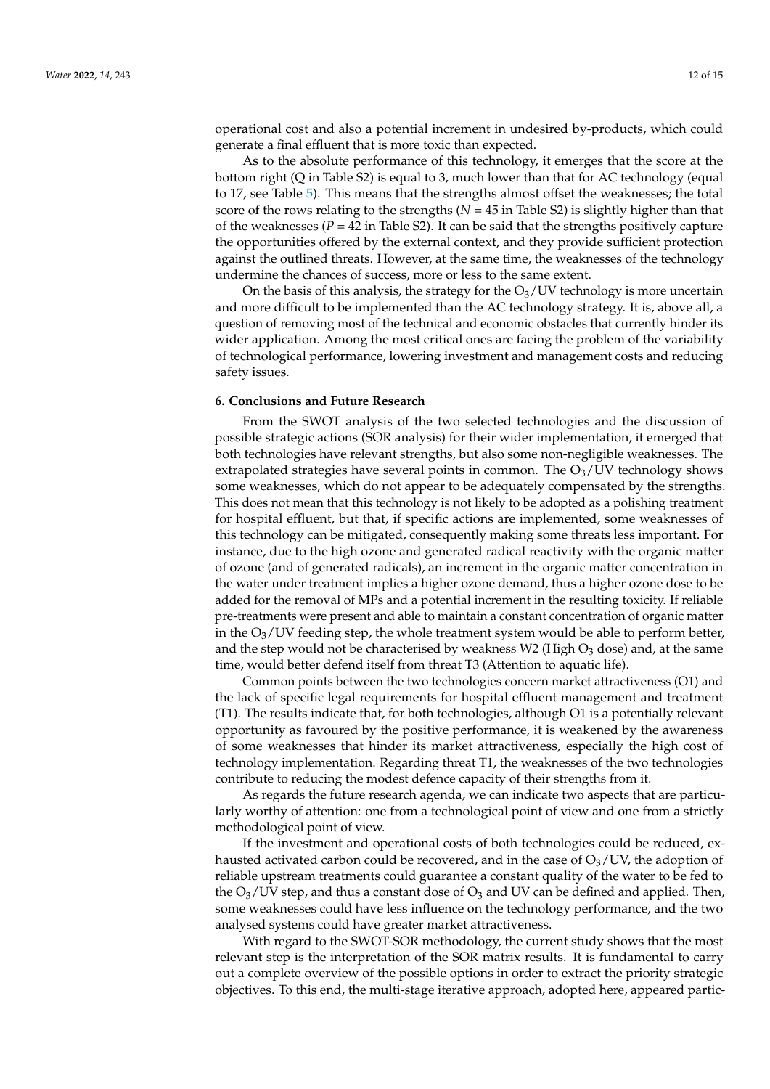operational cost and also a potential increment in undesired by-products, which could generate a final effluent that is more toxic than expected.

As to the absolute performance of this technology, it emerges that the score at the bottom right (Q in Table S2) is equal to 3, much lower than that for AC technology (equal to 17, see Table [5\)](#page-8-0). This means that the strengths almost offset the weaknesses; the total score of the rows relating to the strengths ( $N = 45$  in Table S2) is slightly higher than that of the weaknesses  $(P = 42$  in Table S2). It can be said that the strengths positively capture the opportunities offered by the external context, and they provide sufficient protection against the outlined threats. However, at the same time, the weaknesses of the technology undermine the chances of success, more or less to the same extent.

On the basis of this analysis, the strategy for the  $O<sub>3</sub>/UV$  technology is more uncertain and more difficult to be implemented than the AC technology strategy. It is, above all, a question of removing most of the technical and economic obstacles that currently hinder its wider application. Among the most critical ones are facing the problem of the variability of technological performance, lowering investment and management costs and reducing safety issues.

# **6. Conclusions and Future Research**

From the SWOT analysis of the two selected technologies and the discussion of possible strategic actions (SOR analysis) for their wider implementation, it emerged that both technologies have relevant strengths, but also some non-negligible weaknesses. The extrapolated strategies have several points in common. The  $O<sub>3</sub>/UV$  technology shows some weaknesses, which do not appear to be adequately compensated by the strengths. This does not mean that this technology is not likely to be adopted as a polishing treatment for hospital effluent, but that, if specific actions are implemented, some weaknesses of this technology can be mitigated, consequently making some threats less important. For instance, due to the high ozone and generated radical reactivity with the organic matter of ozone (and of generated radicals), an increment in the organic matter concentration in the water under treatment implies a higher ozone demand, thus a higher ozone dose to be added for the removal of MPs and a potential increment in the resulting toxicity. If reliable pre-treatments were present and able to maintain a constant concentration of organic matter in the  $O_3$ /UV feeding step, the whole treatment system would be able to perform better, and the step would not be characterised by weakness W2 (High  $O_3$  dose) and, at the same time, would better defend itself from threat T3 (Attention to aquatic life).

Common points between the two technologies concern market attractiveness (O1) and the lack of specific legal requirements for hospital effluent management and treatment (T1). The results indicate that, for both technologies, although O1 is a potentially relevant opportunity as favoured by the positive performance, it is weakened by the awareness of some weaknesses that hinder its market attractiveness, especially the high cost of technology implementation. Regarding threat T1, the weaknesses of the two technologies contribute to reducing the modest defence capacity of their strengths from it.

As regards the future research agenda, we can indicate two aspects that are particularly worthy of attention: one from a technological point of view and one from a strictly methodological point of view.

If the investment and operational costs of both technologies could be reduced, exhausted activated carbon could be recovered, and in the case of  $O<sub>3</sub>/UV$ , the adoption of reliable upstream treatments could guarantee a constant quality of the water to be fed to the  $O_3$ /UV step, and thus a constant dose of  $O_3$  and UV can be defined and applied. Then, some weaknesses could have less influence on the technology performance, and the two analysed systems could have greater market attractiveness.

With regard to the SWOT-SOR methodology, the current study shows that the most relevant step is the interpretation of the SOR matrix results. It is fundamental to carry out a complete overview of the possible options in order to extract the priority strategic objectives. To this end, the multi-stage iterative approach, adopted here, appeared partic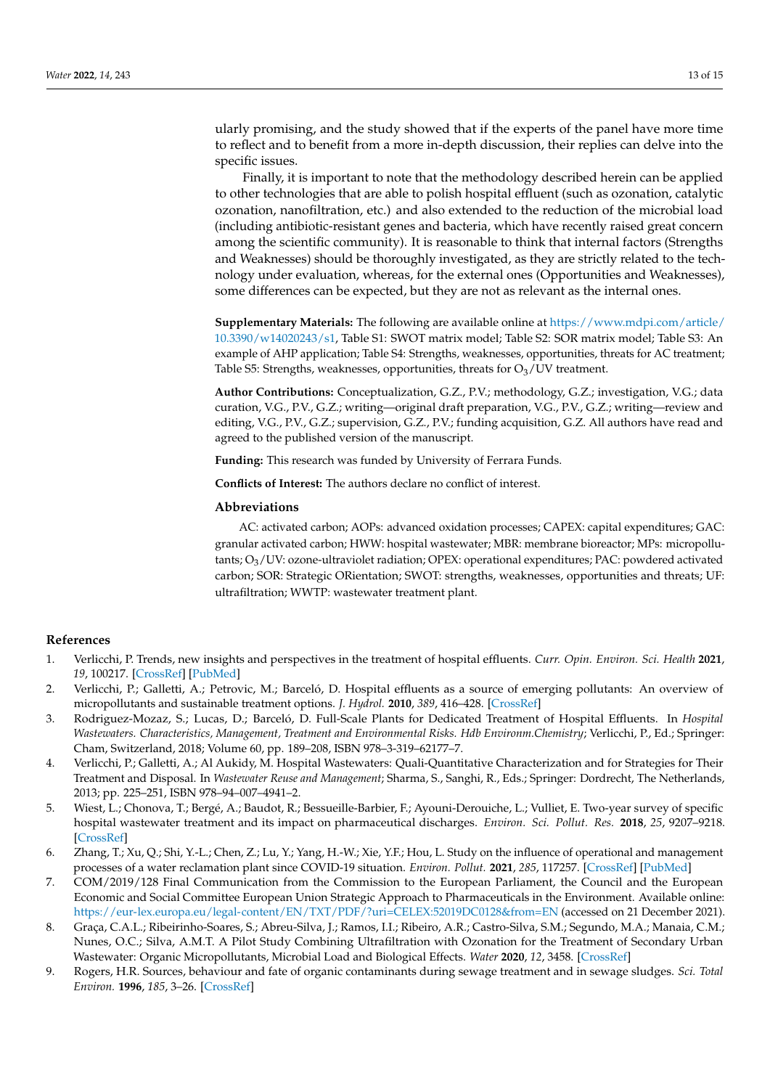ularly promising, and the study showed that if the experts of the panel have more time to reflect and to benefit from a more in-depth discussion, their replies can delve into the specific issues.

Finally, it is important to note that the methodology described herein can be applied to other technologies that are able to polish hospital effluent (such as ozonation, catalytic ozonation, nanofiltration, etc.) and also extended to the reduction of the microbial load (including antibiotic-resistant genes and bacteria, which have recently raised great concern among the scientific community). It is reasonable to think that internal factors (Strengths and Weaknesses) should be thoroughly investigated, as they are strictly related to the technology under evaluation, whereas, for the external ones (Opportunities and Weaknesses), some differences can be expected, but they are not as relevant as the internal ones.

**Supplementary Materials:** The following are available online at [https://www.mdpi.com/article/](https://www.mdpi.com/article/10.3390/w14020243/s1) [10.3390/w14020243/s1,](https://www.mdpi.com/article/10.3390/w14020243/s1) Table S1: SWOT matrix model; Table S2: SOR matrix model; Table S3: An example of AHP application; Table S4: Strengths, weaknesses, opportunities, threats for AC treatment; Table S5: Strengths, weaknesses, opportunities, threats for  $O<sub>3</sub>/UV$  treatment.

**Author Contributions:** Conceptualization, G.Z., P.V.; methodology, G.Z.; investigation, V.G.; data curation, V.G., P.V., G.Z.; writing—original draft preparation, V.G., P.V., G.Z.; writing—review and editing, V.G., P.V., G.Z.; supervision, G.Z., P.V.; funding acquisition, G.Z. All authors have read and agreed to the published version of the manuscript.

**Funding:** This research was funded by University of Ferrara Funds.

**Conflicts of Interest:** The authors declare no conflict of interest.

### **Abbreviations**

AC: activated carbon; AOPs: advanced oxidation processes; CAPEX: capital expenditures; GAC: granular activated carbon; HWW: hospital wastewater; MBR: membrane bioreactor; MPs: micropollutants; O3/UV: ozone-ultraviolet radiation; OPEX: operational expenditures; PAC: powdered activated carbon; SOR: Strategic ORientation; SWOT: strengths, weaknesses, opportunities and threats; UF: ultrafiltration; WWTP: wastewater treatment plant.

# **References**

- <span id="page-12-0"></span>1. Verlicchi, P. Trends, new insights and perspectives in the treatment of hospital effluents. *Curr. Opin. Environ. Sci. Health* **2021**, *19*, 100217. [\[CrossRef\]](http://doi.org/10.1016/j.coesh.2020.10.005) [\[PubMed\]](http://www.ncbi.nlm.nih.gov/pubmed/33103011)
- <span id="page-12-1"></span>2. Verlicchi, P.; Galletti, A.; Petrovic, M.; Barceló, D. Hospital effluents as a source of emerging pollutants: An overview of micropollutants and sustainable treatment options. *J. Hydrol.* **2010**, *389*, 416–428. [\[CrossRef\]](http://doi.org/10.1016/j.jhydrol.2010.06.005)
- <span id="page-12-2"></span>3. Rodriguez-Mozaz, S.; Lucas, D.; Barceló, D. Full-Scale Plants for Dedicated Treatment of Hospital Effluents. In *Hospital Wastewaters. Characteristics, Management, Treatment and Environmental Risks. Hdb Environm.Chemistry*; Verlicchi, P., Ed.; Springer: Cham, Switzerland, 2018; Volume 60, pp. 189–208, ISBN 978–3-319–62177–7.
- 4. Verlicchi, P.; Galletti, A.; Al Aukidy, M. Hospital Wastewaters: Quali-Quantitative Characterization and for Strategies for Their Treatment and Disposal. In *Wastewater Reuse and Management*; Sharma, S., Sanghi, R., Eds.; Springer: Dordrecht, The Netherlands, 2013; pp. 225–251, ISBN 978–94–007–4941–2.
- <span id="page-12-3"></span>5. Wiest, L.; Chonova, T.; Bergé, A.; Baudot, R.; Bessueille-Barbier, F.; Ayouni-Derouiche, L.; Vulliet, E. Two-year survey of specific hospital wastewater treatment and its impact on pharmaceutical discharges. *Environ. Sci. Pollut. Res.* **2018**, *25*, 9207–9218. [\[CrossRef\]](http://doi.org/10.1007/s11356-017-9662-5)
- <span id="page-12-4"></span>6. Zhang, T.; Xu, Q.; Shi, Y.-L.; Chen, Z.; Lu, Y.; Yang, H.-W.; Xie, Y.F.; Hou, L. Study on the influence of operational and management processes of a water reclamation plant since COVID-19 situation. *Environ. Pollut.* **2021**, *285*, 117257. [\[CrossRef\]](http://doi.org/10.1016/j.envpol.2021.117257) [\[PubMed\]](http://www.ncbi.nlm.nih.gov/pubmed/33957510)
- <span id="page-12-5"></span>7. COM/2019/128 Final Communication from the Commission to the European Parliament, the Council and the European Economic and Social Committee European Union Strategic Approach to Pharmaceuticals in the Environment. Available online: <https://eur-lex.europa.eu/legal-content/EN/TXT/PDF/?uri=CELEX:52019DC0128&from=EN> (accessed on 21 December 2021).
- <span id="page-12-6"></span>8. Graça, C.A.L.; Ribeirinho-Soares, S.; Abreu-Silva, J.; Ramos, I.I.; Ribeiro, A.R.; Castro-Silva, S.M.; Segundo, M.A.; Manaia, C.M.; Nunes, O.C.; Silva, A.M.T. A Pilot Study Combining Ultrafiltration with Ozonation for the Treatment of Secondary Urban Wastewater: Organic Micropollutants, Microbial Load and Biological Effects. *Water* **2020**, *12*, 3458. [\[CrossRef\]](http://doi.org/10.3390/w12123458)
- <span id="page-12-7"></span>9. Rogers, H.R. Sources, behaviour and fate of organic contaminants during sewage treatment and in sewage sludges. *Sci. Total Environ.* **1996**, *185*, 3–26. [\[CrossRef\]](http://doi.org/10.1016/0048-9697(96)05039-5)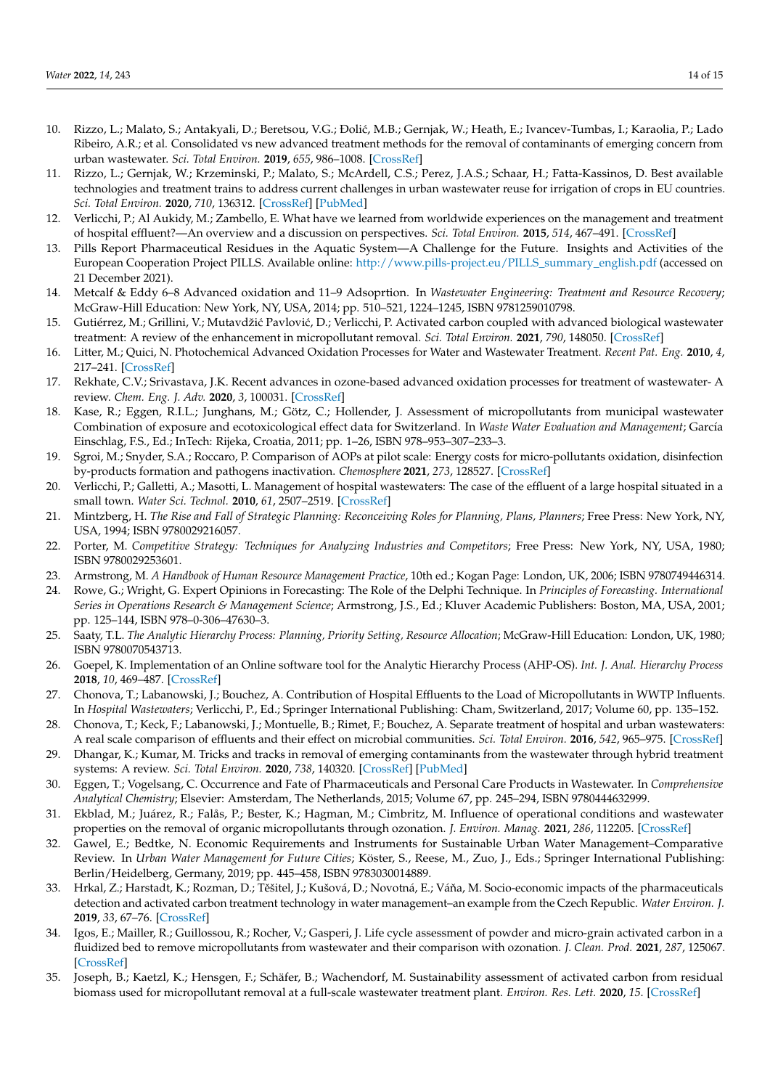- <span id="page-13-0"></span>10. Rizzo, L.; Malato, S.; Antakyali, D.; Beretsou, V.G.; Đolić, M.B.; Gernjak, W.; Heath, E.; Ivancev-Tumbas, I.; Karaolia, P.; Lado Ribeiro, A.R.; et al. Consolidated vs new advanced treatment methods for the removal of contaminants of emerging concern from urban wastewater. *Sci. Total Environ.* **2019**, *655*, 986–1008. [\[CrossRef\]](http://doi.org/10.1016/j.scitotenv.2018.11.265)
- <span id="page-13-1"></span>11. Rizzo, L.; Gernjak, W.; Krzeminski, P.; Malato, S.; McArdell, C.S.; Perez, J.A.S.; Schaar, H.; Fatta-Kassinos, D. Best available technologies and treatment trains to address current challenges in urban wastewater reuse for irrigation of crops in EU countries. *Sci. Total Environ.* **2020**, *710*, 136312. [\[CrossRef\]](http://doi.org/10.1016/j.scitotenv.2019.136312) [\[PubMed\]](http://www.ncbi.nlm.nih.gov/pubmed/32050367)
- <span id="page-13-2"></span>12. Verlicchi, P.; Al Aukidy, M.; Zambello, E. What have we learned from worldwide experiences on the management and treatment of hospital effluent?—An overview and a discussion on perspectives. *Sci. Total Environ.* **2015**, *514*, 467–491. [\[CrossRef\]](http://doi.org/10.1016/j.scitotenv.2015.02.020)
- <span id="page-13-3"></span>13. Pills Report Pharmaceutical Residues in the Aquatic System—A Challenge for the Future. Insights and Activities of the European Cooperation Project PILLS. Available online: [http://www.pills-project.eu/PILLS\\_summary\\_english.pdf](http://www.pills-project.eu/PILLS_summary_english.pdf) (accessed on 21 December 2021).
- <span id="page-13-4"></span>14. Metcalf & Eddy 6–8 Advanced oxidation and 11–9 Adsoprtion. In *Wastewater Engineering: Treatment and Resource Recovery*; McGraw-Hill Education: New York, NY, USA, 2014; pp. 510–521, 1224–1245, ISBN 9781259010798.
- <span id="page-13-5"></span>15. Gutiérrez, M.; Grillini, V.; Mutavdžić Pavlović, D.; Verlicchi, P. Activated carbon coupled with advanced biological wastewater treatment: A review of the enhancement in micropollutant removal. *Sci. Total Environ.* **2021**, *790*, 148050. [\[CrossRef\]](http://doi.org/10.1016/j.scitotenv.2021.148050)
- <span id="page-13-6"></span>16. Litter, M.; Quici, N. Photochemical Advanced Oxidation Processes for Water and Wastewater Treatment. *Recent Pat. Eng.* **2010**, *4*, 217–241. [\[CrossRef\]](http://doi.org/10.2174/187221210794578574)
- <span id="page-13-7"></span>17. Rekhate, C.V.; Srivastava, J.K. Recent advances in ozone-based advanced oxidation processes for treatment of wastewater- A review. *Chem. Eng. J. Adv.* **2020**, *3*, 100031. [\[CrossRef\]](http://doi.org/10.1016/j.ceja.2020.100031)
- <span id="page-13-8"></span>18. Kase, R.; Eggen, R.I.L.; Junghans, M.; Götz, C.; Hollender, J. Assessment of micropollutants from municipal wastewater Combination of exposure and ecotoxicological effect data for Switzerland. In *Waste Water Evaluation and Management*; García Einschlag, F.S., Ed.; InTech: Rijeka, Croatia, 2011; pp. 1–26, ISBN 978–953–307–233–3.
- <span id="page-13-16"></span>19. Sgroi, M.; Snyder, S.A.; Roccaro, P. Comparison of AOPs at pilot scale: Energy costs for micro-pollutants oxidation, disinfection by-products formation and pathogens inactivation. *Chemosphere* **2021**, *273*, 128527. [\[CrossRef\]](http://doi.org/10.1016/j.chemosphere.2020.128527)
- <span id="page-13-9"></span>20. Verlicchi, P.; Galletti, A.; Masotti, L. Management of hospital wastewaters: The case of the effluent of a large hospital situated in a small town. *Water Sci. Technol.* **2010**, *61*, 2507–2519. [\[CrossRef\]](http://doi.org/10.2166/wst.2010.138)
- <span id="page-13-10"></span>21. Mintzberg, H. *The Rise and Fall of Strategic Planning: Reconceiving Roles for Planning, Plans, Planners*; Free Press: New York, NY, USA, 1994; ISBN 9780029216057.
- <span id="page-13-11"></span>22. Porter, M. *Competitive Strategy: Techniques for Analyzing Industries and Competitors*; Free Press: New York, NY, USA, 1980; ISBN 9780029253601.
- <span id="page-13-12"></span>23. Armstrong, M. *A Handbook of Human Resource Management Practice*, 10th ed.; Kogan Page: London, UK, 2006; ISBN 9780749446314.
- <span id="page-13-13"></span>24. Rowe, G.; Wright, G. Expert Opinions in Forecasting: The Role of the Delphi Technique. In *Principles of Forecasting. International Series in Operations Research & Management Science*; Armstrong, J.S., Ed.; Kluver Academic Publishers: Boston, MA, USA, 2001; pp. 125–144, ISBN 978–0-306–47630–3.
- <span id="page-13-14"></span>25. Saaty, T.L. *The Analytic Hierarchy Process: Planning, Priority Setting, Resource Allocation*; McGraw-Hill Education: London, UK, 1980; ISBN 9780070543713.
- <span id="page-13-15"></span>26. Goepel, K. Implementation of an Online software tool for the Analytic Hierarchy Process (AHP-OS). *Int. J. Anal. Hierarchy Process* **2018**, *10*, 469–487. [\[CrossRef\]](http://doi.org/10.13033/ijahp.v10i3.590)
- <span id="page-13-17"></span>27. Chonova, T.; Labanowski, J.; Bouchez, A. Contribution of Hospital Effluents to the Load of Micropollutants in WWTP Influents. In *Hospital Wastewaters*; Verlicchi, P., Ed.; Springer International Publishing: Cham, Switzerland, 2017; Volume 60, pp. 135–152.
- 28. Chonova, T.; Keck, F.; Labanowski, J.; Montuelle, B.; Rimet, F.; Bouchez, A. Separate treatment of hospital and urban wastewaters: A real scale comparison of effluents and their effect on microbial communities. *Sci. Total Environ.* **2016**, *542*, 965–975. [\[CrossRef\]](http://doi.org/10.1016/j.scitotenv.2015.10.161)
- 29. Dhangar, K.; Kumar, M. Tricks and tracks in removal of emerging contaminants from the wastewater through hybrid treatment systems: A review. *Sci. Total Environ.* **2020**, *738*, 140320. [\[CrossRef\]](http://doi.org/10.1016/j.scitotenv.2020.140320) [\[PubMed\]](http://www.ncbi.nlm.nih.gov/pubmed/32806367)
- 30. Eggen, T.; Vogelsang, C. Occurrence and Fate of Pharmaceuticals and Personal Care Products in Wastewater. In *Comprehensive Analytical Chemistry*; Elsevier: Amsterdam, The Netherlands, 2015; Volume 67, pp. 245–294, ISBN 9780444632999.
- 31. Ekblad, M.; Juárez, R.; Falås, P.; Bester, K.; Hagman, M.; Cimbritz, M. Influence of operational conditions and wastewater properties on the removal of organic micropollutants through ozonation. *J. Environ. Manag.* **2021**, *286*, 112205. [\[CrossRef\]](http://doi.org/10.1016/j.jenvman.2021.112205)
- 32. Gawel, E.; Bedtke, N. Economic Requirements and Instruments for Sustainable Urban Water Management–Comparative Review. In *Urban Water Management for Future Cities*; Köster, S., Reese, M., Zuo, J., Eds.; Springer International Publishing: Berlin/Heidelberg, Germany, 2019; pp. 445–458, ISBN 9783030014889.
- 33. Hrkal, Z.; Harstadt, K.; Rozman, D.; Těšitel, J.; Kušová, D.; Novotná, E.; Váňa, M. Socio-economic impacts of the pharmaceuticals detection and activated carbon treatment technology in water management–an example from the Czech Republic. *Water Environ. J.* **2019**, *33*, 67–76. [\[CrossRef\]](http://doi.org/10.1111/wej.12370)
- 34. Igos, E.; Mailler, R.; Guillossou, R.; Rocher, V.; Gasperi, J. Life cycle assessment of powder and micro-grain activated carbon in a fluidized bed to remove micropollutants from wastewater and their comparison with ozonation. *J. Clean. Prod.* **2021**, *287*, 125067. [\[CrossRef\]](http://doi.org/10.1016/j.jclepro.2020.125067)
- 35. Joseph, B.; Kaetzl, K.; Hensgen, F.; Schäfer, B.; Wachendorf, M. Sustainability assessment of activated carbon from residual biomass used for micropollutant removal at a full-scale wastewater treatment plant. *Environ. Res. Lett.* **2020**, *15*. [\[CrossRef\]](http://doi.org/10.1088/1748-9326/ab8330)